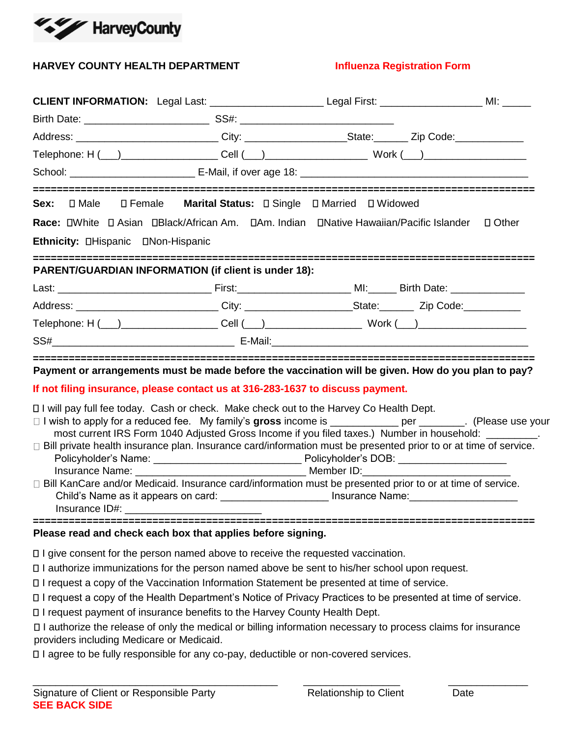

## **HARVEY COUNTY HEALTH DEPARTMENT FOR A SET ALLOW REGISTER INFORMATION FORM**

| CLIENT INFORMATION: Legal Last: _________________________Legal First: _______________________MI: ______                                                                                                                                                                                                                                                                                                                                                                                                                                                                                                                                                                                                                                                                                         |  |  |
|-------------------------------------------------------------------------------------------------------------------------------------------------------------------------------------------------------------------------------------------------------------------------------------------------------------------------------------------------------------------------------------------------------------------------------------------------------------------------------------------------------------------------------------------------------------------------------------------------------------------------------------------------------------------------------------------------------------------------------------------------------------------------------------------------|--|--|
|                                                                                                                                                                                                                                                                                                                                                                                                                                                                                                                                                                                                                                                                                                                                                                                                 |  |  |
| Address: ______________________________City: _______________________State: ________ Zip Code:____________                                                                                                                                                                                                                                                                                                                                                                                                                                                                                                                                                                                                                                                                                       |  |  |
|                                                                                                                                                                                                                                                                                                                                                                                                                                                                                                                                                                                                                                                                                                                                                                                                 |  |  |
|                                                                                                                                                                                                                                                                                                                                                                                                                                                                                                                                                                                                                                                                                                                                                                                                 |  |  |
| Sex: <b>D</b> Male D Female Marital Status: D Single D Married D Widowed                                                                                                                                                                                                                                                                                                                                                                                                                                                                                                                                                                                                                                                                                                                        |  |  |
| Race: DWhite D Asian DBlack/African Am. DAm. Indian DNative Hawaiian/Pacific Islander D Other                                                                                                                                                                                                                                                                                                                                                                                                                                                                                                                                                                                                                                                                                                   |  |  |
| Ethnicity: DHispanic DNon-Hispanic                                                                                                                                                                                                                                                                                                                                                                                                                                                                                                                                                                                                                                                                                                                                                              |  |  |
| PARENT/GUARDIAN INFORMATION (if client is under 18):                                                                                                                                                                                                                                                                                                                                                                                                                                                                                                                                                                                                                                                                                                                                            |  |  |
|                                                                                                                                                                                                                                                                                                                                                                                                                                                                                                                                                                                                                                                                                                                                                                                                 |  |  |
| Address: ______________________________City: ________________________State:__________Zip Code:___________                                                                                                                                                                                                                                                                                                                                                                                                                                                                                                                                                                                                                                                                                       |  |  |
|                                                                                                                                                                                                                                                                                                                                                                                                                                                                                                                                                                                                                                                                                                                                                                                                 |  |  |
| $SSH$ $E$ -Mail: $\qquad \qquad$ $\qquad E$ -Mail: $\qquad \qquad$                                                                                                                                                                                                                                                                                                                                                                                                                                                                                                                                                                                                                                                                                                                              |  |  |
| Payment or arrangements must be made before the vaccination will be given. How do you plan to pay?                                                                                                                                                                                                                                                                                                                                                                                                                                                                                                                                                                                                                                                                                              |  |  |
| If not filing insurance, please contact us at 316-283-1637 to discuss payment.                                                                                                                                                                                                                                                                                                                                                                                                                                                                                                                                                                                                                                                                                                                  |  |  |
| □ I will pay full fee today. Cash or check. Make check out to the Harvey Co Health Dept.<br>□ I wish to apply for a reduced fee. My family's gross income is ___________ per _______. (Please use your<br>most current IRS Form 1040 Adjusted Gross Income if you filed taxes.) Number in household: _________.<br>□ Bill private health insurance plan. Insurance card/information must be presented prior to or at time of service.<br>Insurance Name: Name: Name and Allen Member ID: Nember ID: Name and Allen Member ID:<br>□ Bill KanCare and/or Medicaid. Insurance card/information must be presented prior to or at time of service.<br>Child's Name as it appears on card: __________________________ Insurance Name: _____________________<br>Insurance ID#: \\\end{\math{\math}\$1} |  |  |
| Please read and check each box that applies before signing.                                                                                                                                                                                                                                                                                                                                                                                                                                                                                                                                                                                                                                                                                                                                     |  |  |
| □ I give consent for the person named above to receive the requested vaccination.<br>□ I authorize immunizations for the person named above be sent to his/her school upon request.<br>□ I request a copy of the Vaccination Information Statement be presented at time of service.<br>□ I request a copy of the Health Department's Notice of Privacy Practices to be presented at time of service.<br>□ I request payment of insurance benefits to the Harvey County Health Dept.                                                                                                                                                                                                                                                                                                             |  |  |

I authorize the release of only the medical or billing information necessary to process claims for insurance providers including Medicare or Medicaid.

\_\_\_\_\_\_\_\_\_\_\_\_\_\_\_\_\_\_\_\_\_\_\_\_\_\_\_\_\_\_\_\_\_\_\_\_\_\_\_\_\_\_\_ \_\_\_\_\_\_\_\_\_\_\_\_\_\_\_\_\_ \_\_\_\_\_\_\_\_\_\_\_\_\_\_

I agree to be fully responsible for any co-pay, deductible or non-covered services.